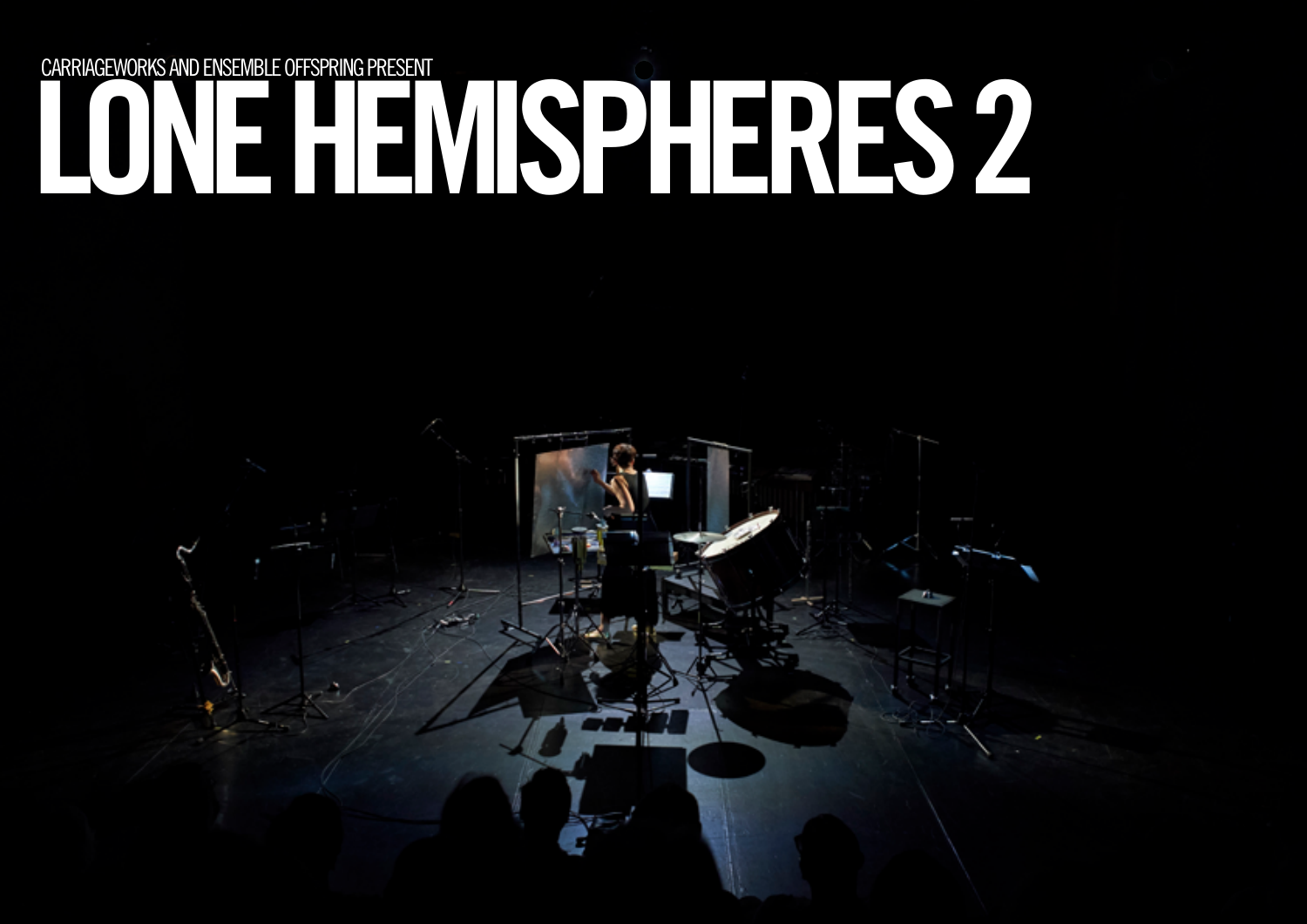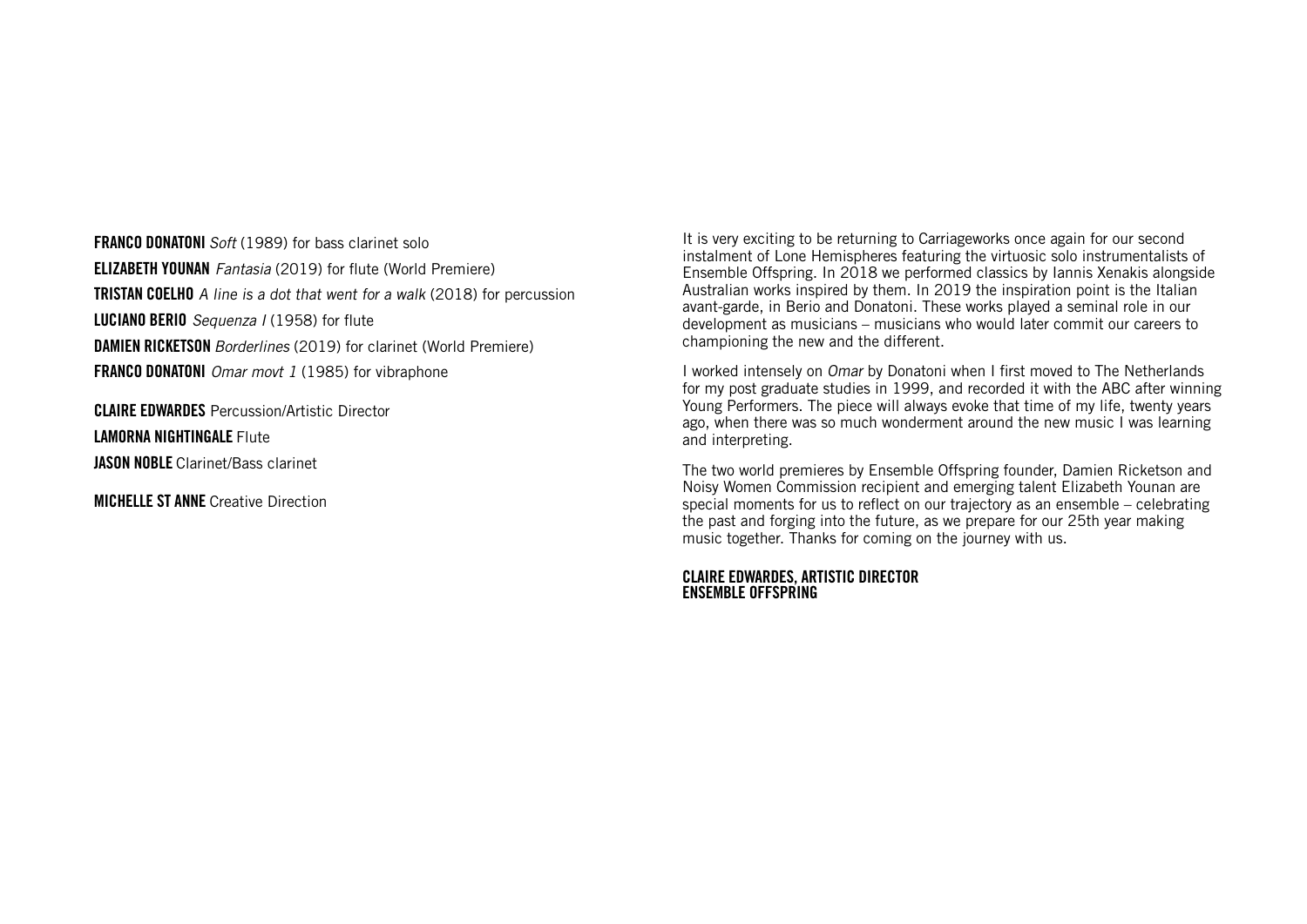**FRANCO DONATONI** Soft (1989) for bass clarinet solo ELIZABETH YOUNAN Fantasia (2019) for flute (World Premiere) **TRISTAN COELHO** A line is a dot that went for a walk (2018) for percussion LUCIANO BERIO Sequenza I (1958) for flute **DAMIEN RICKETSON** Borderlines (2019) for clarinet (World Premiere) **FRANCO DONATONI** Omar movt 1 (1985) for vibraphone

CLAIRE EDWARDES Percussion/Artistic Director LAMORNA NIGHTINGALE Flute JASON NOBLE Clarinet/Bass clarinet

**MICHELLE ST ANNE** Creative Direction

It is very exciting to be returning to Carriageworks once again for our second instalment of Lone Hemispheres featuring the virtuosic solo instrumentalists of Ensemble Offspring. In 2018 we performed classics by Iannis Xenakis alongside Australian works inspired by them. In 2019 the inspiration point is the Italian avant-garde, in Berio and Donatoni. These works played a seminal role in our development as musicians – musicians who would later commit our careers to championing the new and the different.

I worked intensely on Omar by Donatoni when I first moved to The Netherlands for my post graduate studies in 1999, and recorded it with the ABC after winning Young Performers. The piece will always evoke that time of my life, twenty years ago, when there was so much wonderment around the new music I was learning and interpreting.

The two world premieres by Ensemble Offspring founder, Damien Ricketson and Noisy Women Commission recipient and emerging talent Elizabeth Younan are special moments for us to reflect on our trajectory as an ensemble – celebrating the past and forging into the future, as we prepare for our 25th year making music together. Thanks for coming on the journey with us.

#### CLAIRE EDWARDES, ARTISTIC DIRECTOR ENSEMBLE OFFSPRING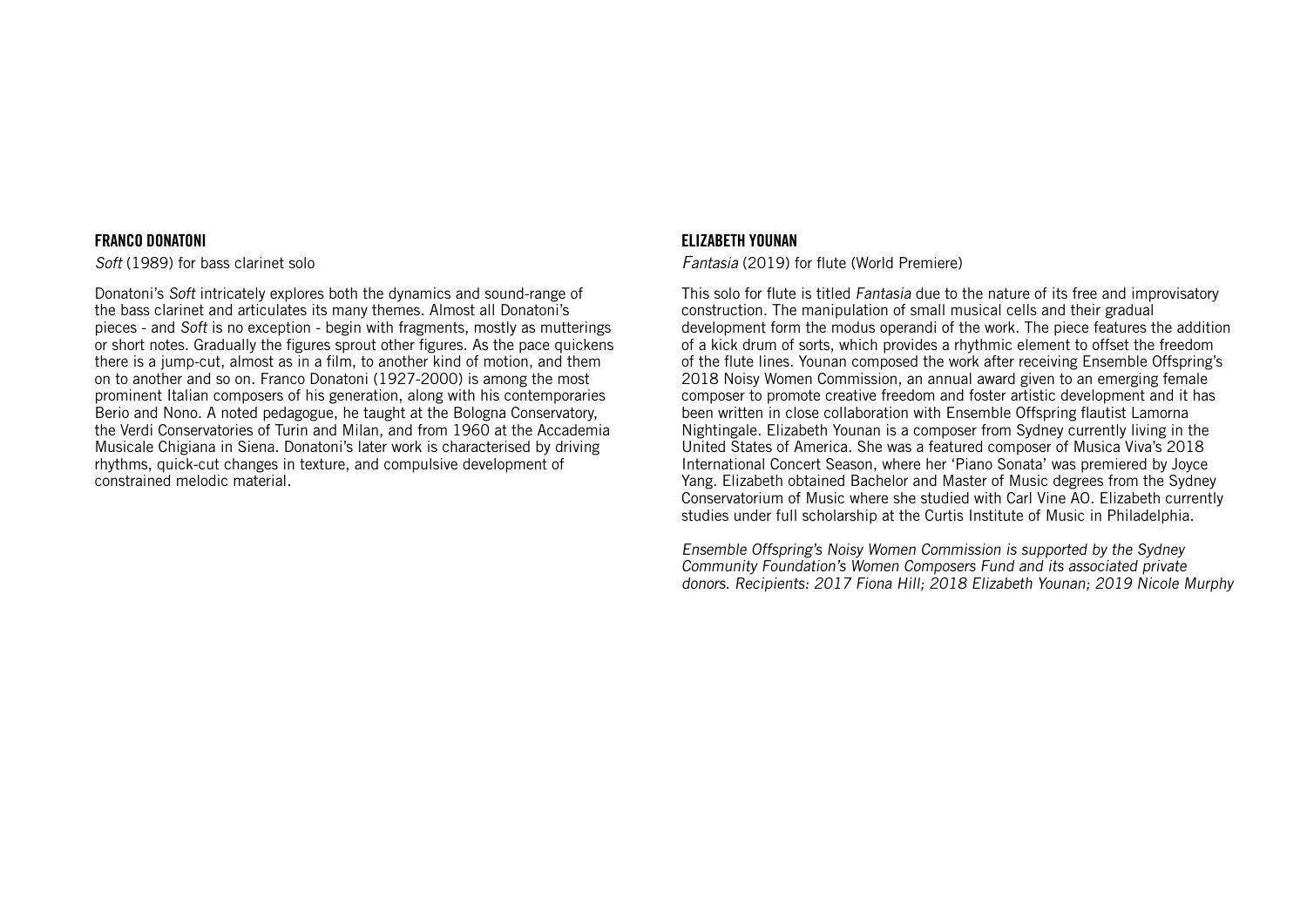## FRANCO DONATONI

Soft (1989) for bass clarinet solo

Donatoni's Soft intricately explores both the dynamics and sound-range of the bass clarinet and articulates its many themes. Almost all Donatoni's pieces - and Soft is no exception - begin with fragments, mostly as mutterings or short notes. Gradually the figures sprout other figures. As the pace quickens there is a jump-cut, almost as in a film, to another kind of motion, and them on to another and so on. Franco Donatoni (1927-2000) is among the most prominent Italian composers of his generation, along with his contemporaries Berio and Nono. A noted pedagogue, he taught at the Bologna Conservatory, the Verdi Conservatories of Turin and Milan, and from 1960 at the Accademia Musicale Chigiana in Siena. Donatoni's later work is characterised by driving rhythms, quick-cut changes in texture, and compulsive development of constrained melodic material.

# ELIZABETH YOUNAN

Fantasia (2019) for flute (World Premiere)

This solo for flute is titled Fantasia due to the nature of its free and improvisatory construction. The manipulation of small musical cells and their gradual development form the modus operandi of the work. The piece features the addition of a kick drum of sorts, which provides a rhythmic element to offset the freedom of the flute lines. Younan composed the work after receiving Ensemble Offspring's 2018 Noisy Women Commission, an annual award given to an emerging female composer to promote creative freedom and foster artistic development and it has been written in close collaboration with Ensemble Offspring flautist Lamorna Nightingale. Elizabeth Younan is a composer from Sydney currently living in the United States of America. She was a featured composer of Musica Viva's 2018 International Concert Season, where her 'Piano Sonata' was premiered by Joyce Yang. Elizabeth obtained Bachelor and Master of Music degrees from the Sydney Conservatorium of Music where she studied with Carl Vine AO. Elizabeth currently studies under full scholarship at the Curtis Institute of Music in Philadelphia.

Ensemble Offspring's Noisy Women Commission is supported by the Sydney Community Foundation's Women Composers Fund and its associated private donors. Recipients: 2017 Fiona Hill; 2018 Elizabeth Younan; 2019 Nicole Murphy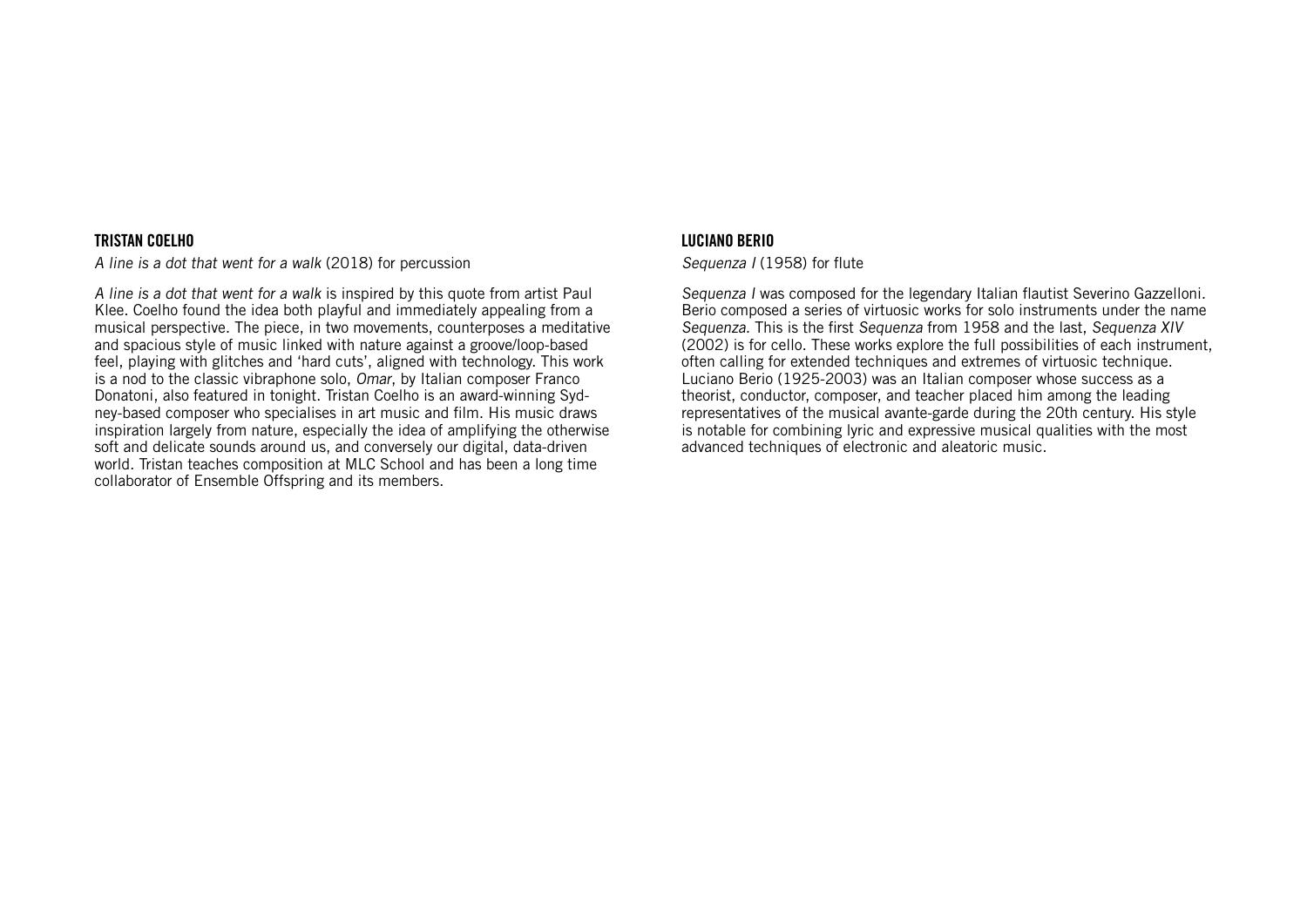## TRISTAN COELHO

A line is a dot that went for a walk (2018) for percussion

A line is a dot that went for a walk is inspired by this quote from artist Paul Klee. Coelho found the idea both playful and immediately appealing from a musical perspective. The piece, in two movements, counterposes a meditative and spacious style of music linked with nature against a groove/loop-based feel, playing with glitches and 'hard cuts', aligned with technology. This work is a nod to the classic vibraphone solo, Omar, by Italian composer Franco Donatoni, also featured in tonight. Tristan Coelho is an award-winning Sydney-based composer who specialises in art music and film. His music draws inspiration largely from nature, especially the idea of amplifying the otherwise soft and delicate sounds around us, and conversely our digital, data-driven world. Tristan teaches composition at MLC School and has been a long time collaborator of Ensemble Offspring and its members.

# LUCIANO BERIO

## Sequenza I (1958) for flute

Sequenza I was composed for the legendary Italian flautist Severino Gazzelloni. Berio composed a series of virtuosic works for solo instruments under the name Sequenza. This is the first Sequenza from 1958 and the last, Sequenza XIV (2002) is for cello. These works explore the full possibilities of each instrument, often calling for extended techniques and extremes of virtuosic technique. Luciano Berio (1925-2003) was an Italian composer whose success as a theorist, conductor, composer, and teacher placed him among the leading representatives of the musical avante-garde during the 20th century. His style is notable for combining lyric and expressive musical qualities with the most advanced techniques of electronic and aleatoric music.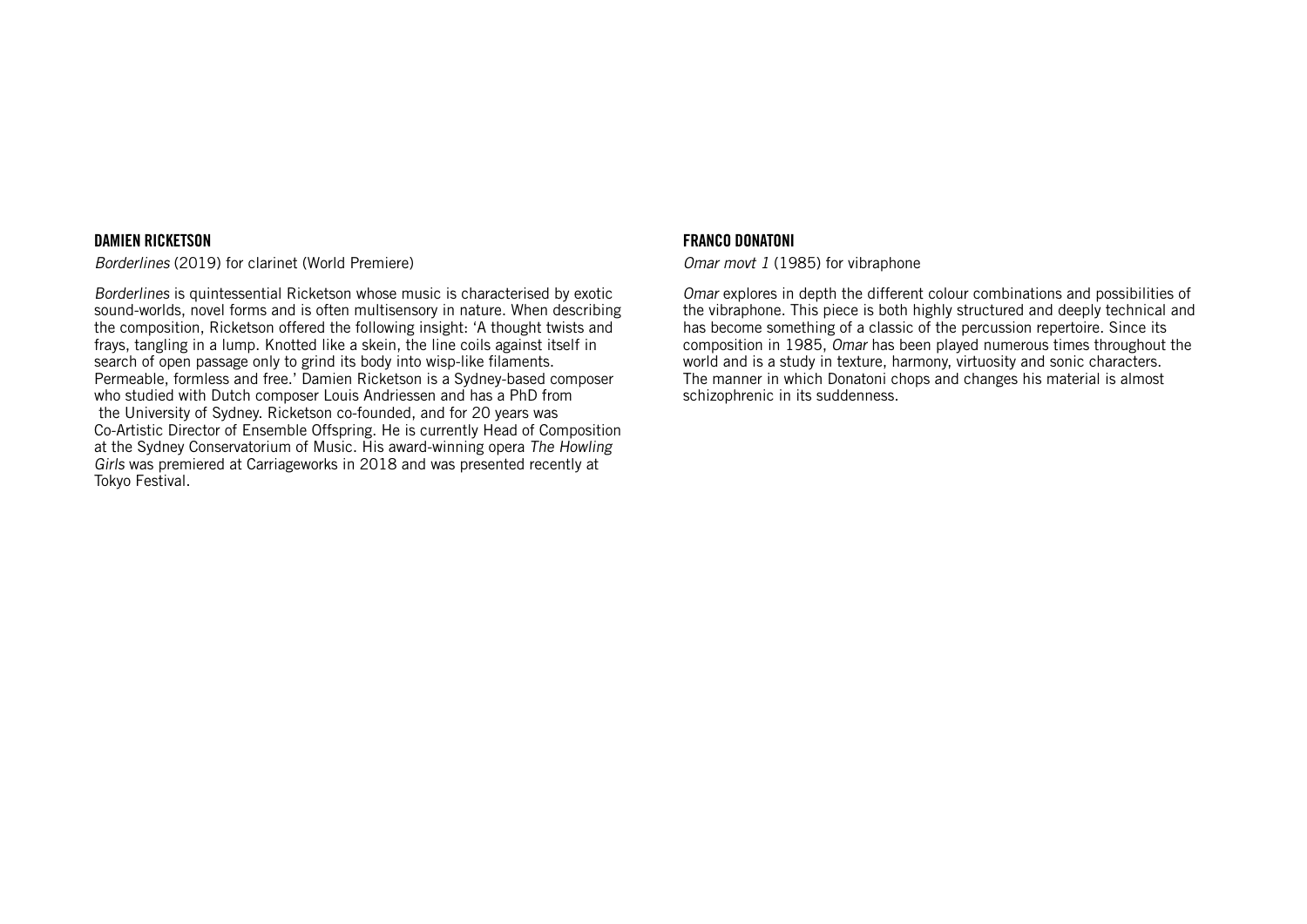### DAMIEN RICKETSON

Borderlines (2019) for clarinet (World Premiere)

Borderlines is quintessential Ricketson whose music is characterised by exotic sound-worlds, novel forms and is often multisensory in nature. When describing the composition, Ricketson offered the following insight: 'A thought twists and frays, tangling in a lump. Knotted like a skein, the line coils against itself in search of open passage only to grind its body into wisp-like filaments. Permeable, formless and free.' Damien Ricketson is a Sydney-based composer who studied with Dutch composer Louis Andriessen and has a PhD from the University of Sydney. Ricketson co-founded, and for 20 years was Co-Artistic Director of Ensemble Offspring. He is currently Head of Composition at the Sydney Conservatorium of Music. His award-winning opera The Howling Girls was premiered at Carriageworks in 2018 and was presented recently at Tokyo Festival.

## FRANCO DONATONI

Omar movt 1 (1985) for vibraphone

Omar explores in depth the different colour combinations and possibilities of the vibraphone. This piece is both highly structured and deeply technical and has become something of a classic of the percussion repertoire. Since its composition in 1985, Omar has been played numerous times throughout the world and is a study in texture, harmony, virtuosity and sonic characters. The manner in which Donatoni chops and changes his material is almost schizophrenic in its suddenness.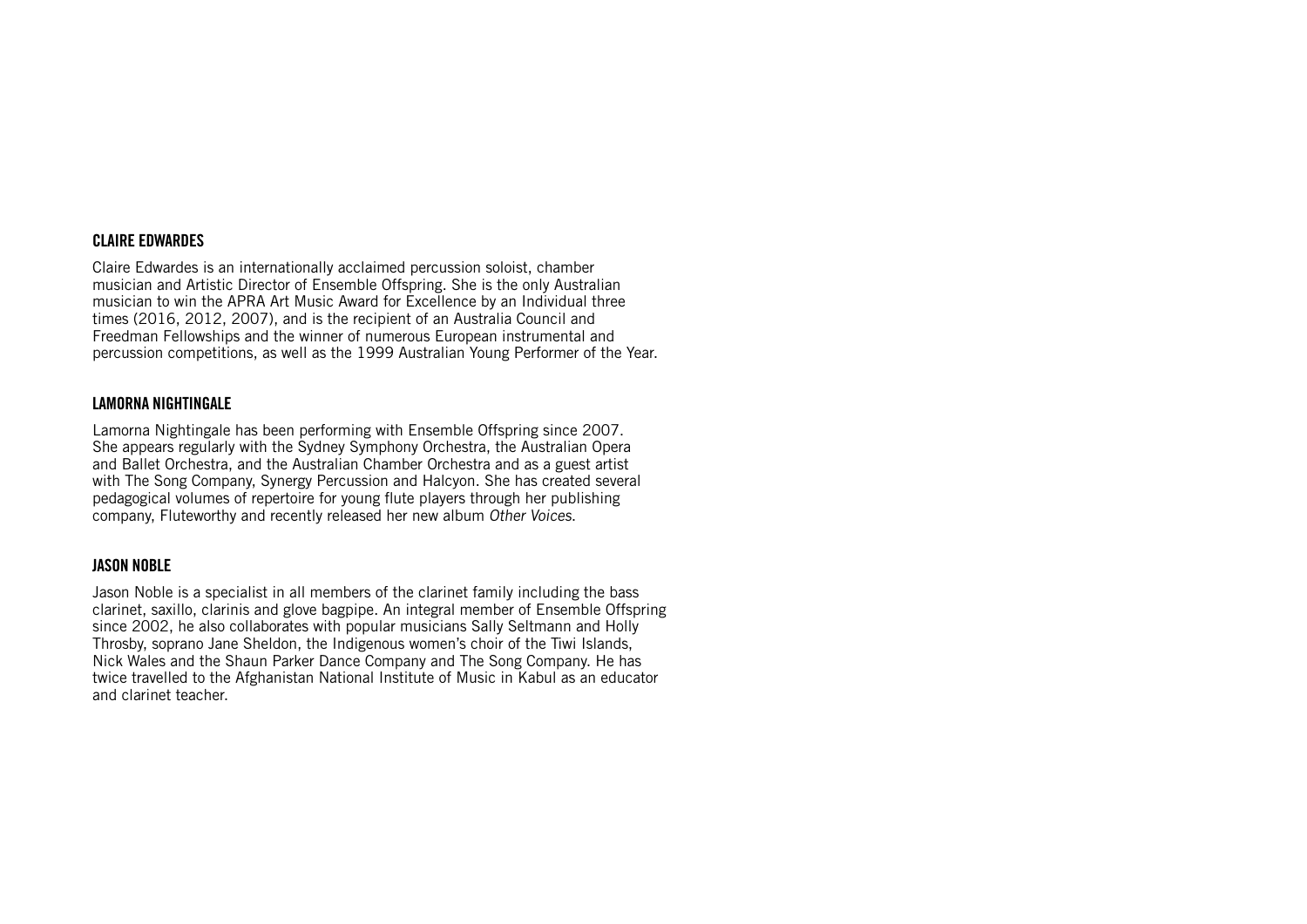# CLAIRE EDWARDES

Claire Edwardes is an internationally acclaimed percussion soloist, chamber musician and Artistic Director of Ensemble Offspring. She is the only Australian musician to win the APRA Art Music Award for Excellence by an Individual three times (2016, 2012, 2007), and is the recipient of an Australia Council and Freedman Fellowships and the winner of numerous European instrumental and percussion competitions, as well as the 1999 Australian Young Performer of the Year.

# LAMORNA NIGHTINGALE

Lamorna Nightingale has been performing with Ensemble Offspring since 2007. She appears regularly with the Sydney Symphony Orchestra, the Australian Opera and Ballet Orchestra, and the Australian Chamber Orchestra and as a guest artist with The Song Company, Synergy Percussion and Halcyon. She has created several pedagogical volumes of repertoire for young flute players through her publishing company, Fluteworthy and recently released her new album Other Voices.

# JASON NOBLE

Jason Noble is a specialist in all members of the clarinet family including the bass clarinet, saxillo, clarinis and glove bagpipe. An integral member of Ensemble Offspring since 2002, he also collaborates with popular musicians Sally Seltmann and Holly Throsby, soprano Jane Sheldon, the Indigenous women's choir of the Tiwi Islands, Nick Wales and the Shaun Parker Dance Company and The Song Company. He has twice travelled to the Afghanistan National Institute of Music in Kabul as an educator and clarinet teacher.